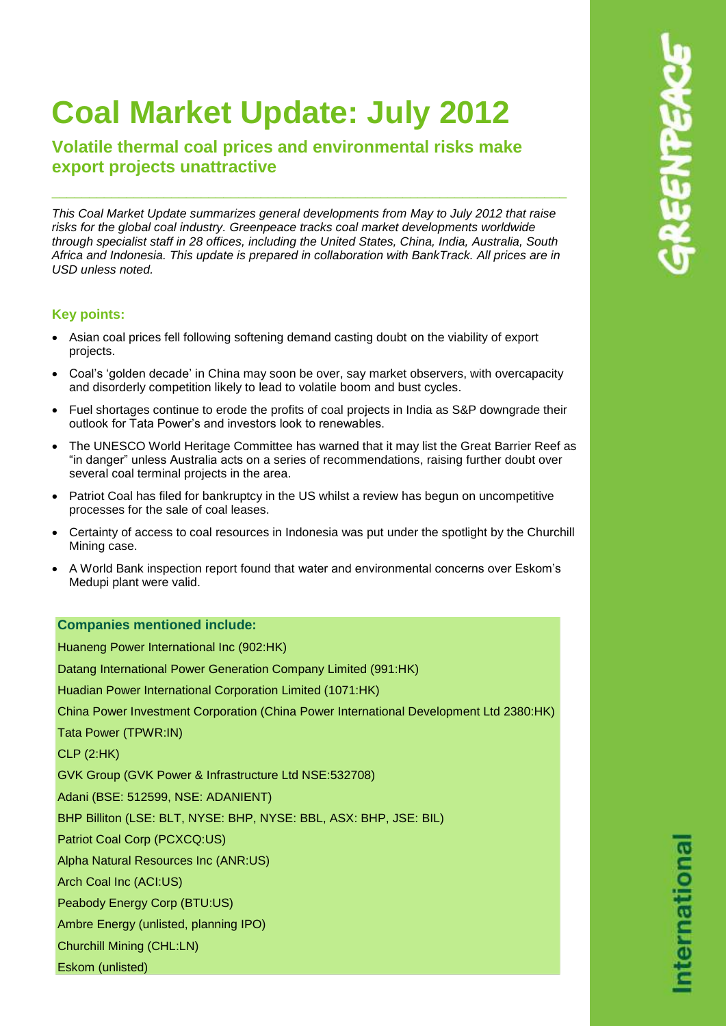# **Coal Market Update: July 2012**

**Volatile thermal coal prices and environmental risks make export projects unattractive**

*This Coal Market Update summarizes general developments from May to July 2012 that raise risks for the global coal industry. Greenpeace tracks coal market developments worldwide through specialist staff in 28 offices, including the United States, China, India, Australia, South Africa and Indonesia. This update is prepared in collaboration with BankTrack. All prices are in USD unless noted.*

\_\_\_\_\_\_\_\_\_\_\_\_\_\_\_\_\_\_\_\_\_\_\_\_\_\_\_\_\_\_\_\_\_\_\_\_\_\_\_\_\_\_\_\_\_\_\_\_\_\_\_\_\_\_\_\_\_\_\_\_\_\_\_\_\_\_\_\_\_

# **Key points:**

- Asian coal prices fell following softening demand casting doubt on the viability of export projects.
- Coal's 'golden decade' in China may soon be over, say market observers, with overcapacity and disorderly competition likely to lead to volatile boom and bust cycles.
- Fuel shortages continue to erode the profits of coal projects in India as S&P downgrade their outlook for Tata Power's and investors look to renewables.
- The UNESCO World Heritage Committee has warned that it may list the Great Barrier Reef as "in danger" unless Australia acts on a series of recommendations, raising further doubt over several coal terminal projects in the area.
- Patriot Coal has filed for bankruptcy in the US whilst a review has begun on uncompetitive processes for the sale of coal leases.
- Certainty of access to coal resources in Indonesia was put under the spotlight by the Churchill Mining case.
- A World Bank inspection report found that water and environmental concerns over Eskom's Medupi plant were valid.

# **Companies mentioned include:**

Huaneng Power International Inc (902:HK) Datang International Power Generation Company Limited (991:HK) Huadian Power International Corporation Limited (1071:HK) China Power Investment Corporation (China Power International Development Ltd 2380:HK) Tata Power (TPWR:IN) CLP (2:HK) GVK Group (GVK Power & Infrastructure Ltd NSE:532708) Adani (BSE: 512599, NSE: ADANIENT) BHP Billiton (LSE: BLT, NYSE: BHP, NYSE: BBL, ASX: BHP, JSE: BIL) Patriot Coal Corp (PCXCQ:US) Alpha Natural Resources Inc (ANR:US) Arch Coal Inc (ACI:US) Peabody Energy Corp (BTU:US) Ambre Energy (unlisted, planning IPO) Churchill Mining (CHL:LN) Eskom (unlisted)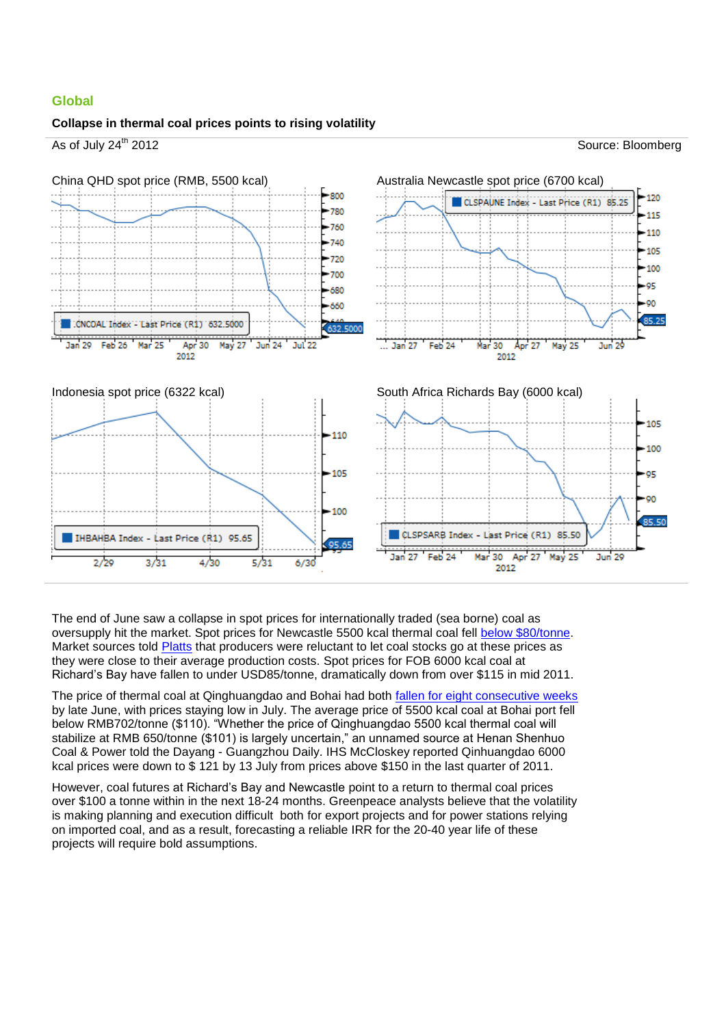## **Global**

#### **Collapse in thermal coal prices points to rising volatility**



The end of June saw a collapse in spot prices for internationally traded (sea borne) coal as oversupply hit the market. Spot prices for Newcastle 5500 kcal thermal coal fell [below \\$80/tonne.](http://platts.com/newsfeature/2012/thermalcoal/index) Market sources told [Platts](http://platts.com/newsfeature/2012/thermalcoal/index) that producers were reluctant to let coal stocks go at these prices as they were close to their average production costs. Spot prices for FOB 6000 kcal coal at Richard's Bay have fallen to under USD85/tonne, dramatically down from over \$115 in mid 2011.

The price of thermal coal at Qinghuangdao and Bohai had both [fallen for eight consecutive weeks](http://www.custeel.com/shouye/common/viewArticle.jsp?group=&articleID=3217328) by late June, with prices staying low in July. The average price of 5500 kcal coal at Bohai port fell below RMB702/tonne (\$110). "Whether the price of Qinghuangdao 5500 kcal thermal coal will stabilize at RMB 650/tonne (\$101) is largely uncertain," an unnamed source at Henan Shenhuo Coal & Power told the Dayang - Guangzhou Daily. IHS McCloskey reported Qinhuangdao 6000 kcal prices were down to \$ 121 by 13 July from prices above \$150 in the last quarter of 2011.

However, coal futures at Richard's Bay and Newcastle point to a return to thermal coal prices over \$100 a tonne within in the next 18-24 months. Greenpeace analysts believe that the volatility is making planning and execution difficult both for export projects and for power stations relying on imported coal, and as a result, forecasting a reliable IRR for the 20-40 year life of these projects will require bold assumptions.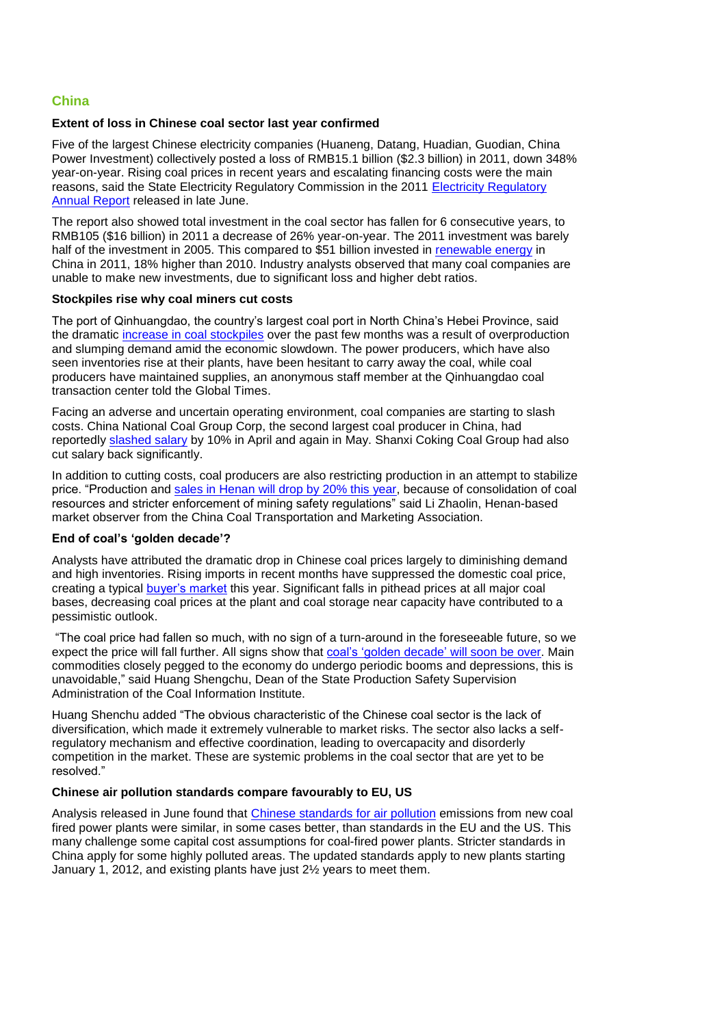## **China**

## **Extent of loss in Chinese coal sector last year confirmed**

Five of the largest Chinese electricity companies (Huaneng, Datang, Huadian, Guodian, China Power Investment) collectively posted a loss of RMB15.1 billion (\$2.3 billion) in 2011, down 348% year-on-year. Rising coal prices in recent years and escalating financing costs were the main reasons, said the State Electricity Regulatory Commission in the 2011 [Electricity Regulatory](http://finance.ifeng.com/stock/hybg/20120703/6697520.shtml)  [Annual Report](http://finance.ifeng.com/stock/hybg/20120703/6697520.shtml) released in late June.

The report also showed total investment in the coal sector has fallen for 6 consecutive years, to RMB105 (\$16 billion) in 2011 a decrease of 26% year-on-year. The 2011 investment was barely half of the investment in 2005. This compared to \$51 billion invested in [renewable energy](http://fs-unep-centre.org/publications/global-trends-renewable-energy-investment-2012) in China in 2011, 18% higher than 2010. Industry analysts observed that many coal companies are unable to make new investments, due to significant loss and higher debt ratios.

## **Stockpiles rise why coal miners cut costs**

The port of Qinhuangdao, the country's largest coal port in North China's Hebei Province, said the dramatic [increase in coal stockpiles](http://www.shippingtribune.com/?p=10064) over the past few months was a result of overproduction and slumping demand amid the economic slowdown. The power producers, which have also seen inventories rise at their plants, have been hesitant to carry away the coal, while coal producers have maintained supplies, an anonymous staff member at the Qinhuangdao coal transaction center told the Global Times.

Facing an adverse and uncertain operating environment, coal companies are starting to slash costs. China National Coal Group Corp, the second largest coal producer in China, had reportedly [slashed salary](http://www.custeel.com/shouye/common/viewArticle.jsp?group=&articleID=3217328) by 10% in April and again in May. Shanxi Coking Coal Group had also cut salary back significantly.

In addition to cutting costs, coal producers are also restricting production in an attempt to stabilize price. "Production and [sales in Henan will drop by 20% this year,](http://www.custeel.com/shouye/common/viewArticle.jsp?group=&articleID=3217328) because of consolidation of coal resources and stricter enforcement of mining safety regulations" said Li Zhaolin, Henan-based market observer from the China Coal Transportation and Marketing Association.

#### **End of coal's 'golden decade'?**

Analysts have attributed the dramatic drop in Chinese coal prices largely to diminishing demand and high inventories. Rising imports in recent months have suppressed the domestic coal price, creating a typical [buyer's market](http://www.custeel.com/shouye/common/viewArticle.jsp?group=&articleID=3217328) this year. Significant falls in pithead prices at all major coal bases, decreasing coal prices at the plant and coal storage near capacity have contributed to a pessimistic outlook.

"The coal price had fallen so much, with no sign of a turn-around in the foreseeable future, so we expect the price will fall further. All signs show that [coal's 'golden decade'](http://www.custeel.com/shouye/common/viewArticle.jsp?group=&articleID=3217106) will soon be over. Main commodities closely pegged to the economy do undergo periodic booms and depressions, this is unavoidable," said Huang Shengchu, Dean of the State Production Safety Supervision Administration of the Coal Information Institute.

Huang Shenchu added "The obvious characteristic of the Chinese coal sector is the lack of diversification, which made it extremely vulnerable to market risks. The sector also lacks a selfregulatory mechanism and effective coordination, leading to overcapacity and disorderly competition in the market. These are systemic problems in the coal sector that are yet to be resolved."

## **Chinese air pollution standards compare favourably to EU, US**

Analysis released in June found that [Chinese standards for air pollution](http://www.chinafaqs.org/files/chinainfo/China%20FAQs%20Emission%20Standards%20v1.4_0.pdf) emissions from new coal fired power plants were similar, in some cases better, than standards in the EU and the US. This many challenge some capital cost assumptions for coal-fired power plants. Stricter standards in China apply for some highly polluted areas. The updated standards apply to new plants starting January 1, 2012, and existing plants have just 2½ years to meet them.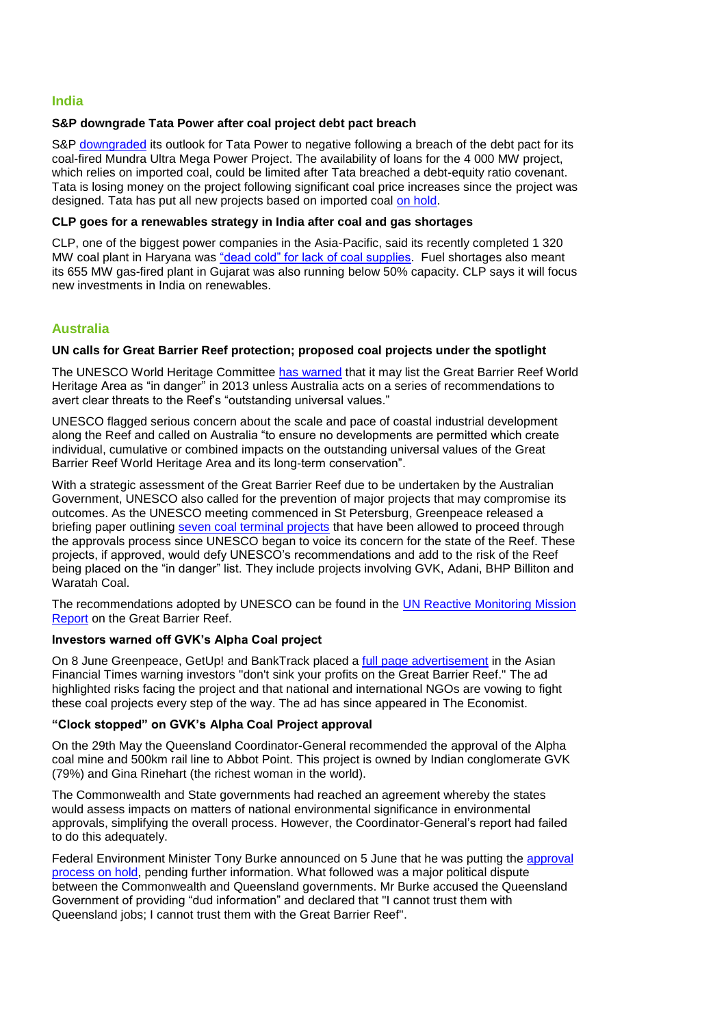#### **India**

#### **S&P downgrade Tata Power after coal project debt pact breach**

S&P [downgraded](http://in.reuters.com/article/2012/07/09/tatapower-outlook-sp-idINL3E8I931J20120709) its outlook for Tata Power to negative following a breach of the debt pact for its coal-fired Mundra Ultra Mega Power Project. The availability of loans for the 4 000 MW project, which relies on imported coal, could be limited after Tata breached a debt-equity ratio covenant. Tata is losing money on the project following significant coal price increases since the project was designed. Tata has put all new projects based on imported coal [on hold.](http://www.reuters.com/article/2012/06/14/india-tatapower-idUSL3E8HE3QV20120614)

## **CLP goes for a renewables strategy in India after coal and gas shortages**

CLP, one of the biggest power companies in the Asia-Pacific, said its recently completed 1 320 MW coal plant in Haryana was ["dead cold" for lack of coal supplies.](http://www.businessweek.com/news/2012-06-18/indian-wind-developments-threatened-by-weakening-rupee-clp-says) Fuel shortages also meant its 655 MW gas-fired plant in Gujarat was also running below 50% capacity. CLP says it will focus new investments in India on renewables.

# **Australia**

## **UN calls for Great Barrier Reef protection; proposed coal projects under the spotlight**

The UNESCO World Heritage Committee [has warned](http://news.smh.com.au/breaking-news-world/unesco-passes-barrier-reef-care-measures-20120629-215u6.html) that it may list the Great Barrier Reef World Heritage Area as "in danger" in 2013 unless Australia acts on a series of recommendations to avert clear threats to the Reef's "outstanding universal values."

UNESCO flagged serious concern about the scale and pace of coastal industrial development along the Reef and called on Australia "to ensure no developments are permitted which create individual, cumulative or combined impacts on the outstanding universal values of the Great Barrier Reef World Heritage Area and its long-term conservation".

With a strategic assessment of the Great Barrier Reef due to be undertaken by the Australian Government, UNESCO also called for the prevention of major projects that may compromise its outcomes. As the UNESCO meeting commenced in St Petersburg, Greenpeace released a briefing paper outlining [seven coal terminal projects](http://www.greenpeace.org/australia/PageFiles/433616/Business_as_usual_for_reef_destruction.pdf) that have been allowed to proceed through the approvals process since UNESCO began to voice its concern for the state of the Reef. These projects, if approved, would defy UNESCO's recommendations and add to the risk of the Reef being placed on the "in danger" list. They include projects involving GVK, Adani, BHP Billiton and Waratah Coal.

The recommendations adopted by UNESCO can be found in the UN Reactive Monitoring Mission [Report](http://whc.unesco.org/en/documents/117104) on the Great Barrier Reef.

#### **Investors warned off GVK's Alpha Coal project**

On 8 June Greenpeace, GetUp! and BankTrack placed a [full page advertisement](http://www.greenpeace.org/australia/PageFiles/429539/gbr-bw.jpg) in the Asian Financial Times warning investors "don't sink your profits on the Great Barrier Reef." The ad highlighted risks facing the project and that national and international NGOs are vowing to fight these coal projects every step of the way. The ad has since appeared in The Economist.

#### **"Clock stopped" on GVK's Alpha Coal Project approval**

On the 29th May the Queensland Coordinator-General recommended the approval of the Alpha coal mine and 500km rail line to Abbot Point. This project is owned by Indian conglomerate GVK (79%) and Gina Rinehart (the richest woman in the world).

The Commonwealth and State governments had reached an agreement whereby the states would assess impacts on matters of national environmental significance in environmental approvals, simplifying the overall process. However, the Coordinator-General's report had failed to do this adequately.

Federal Environment Minister Tony Burke announced on 5 June that he was putting the [approval](http://www.theaustralian.com.au/national-affairs/burke-stops-clock-on-gina-rineharts-alpha-coal-mine-in-gallilee-basin/story-fn59niix-1226384414222)  [process on hold,](http://www.theaustralian.com.au/national-affairs/burke-stops-clock-on-gina-rineharts-alpha-coal-mine-in-gallilee-basin/story-fn59niix-1226384414222) pending further information. What followed was a major political dispute between the Commonwealth and Queensland governments. Mr Burke accused the Queensland Government of providing "dud information" and declared that "I cannot trust them with Queensland jobs; I cannot trust them with the Great Barrier Reef".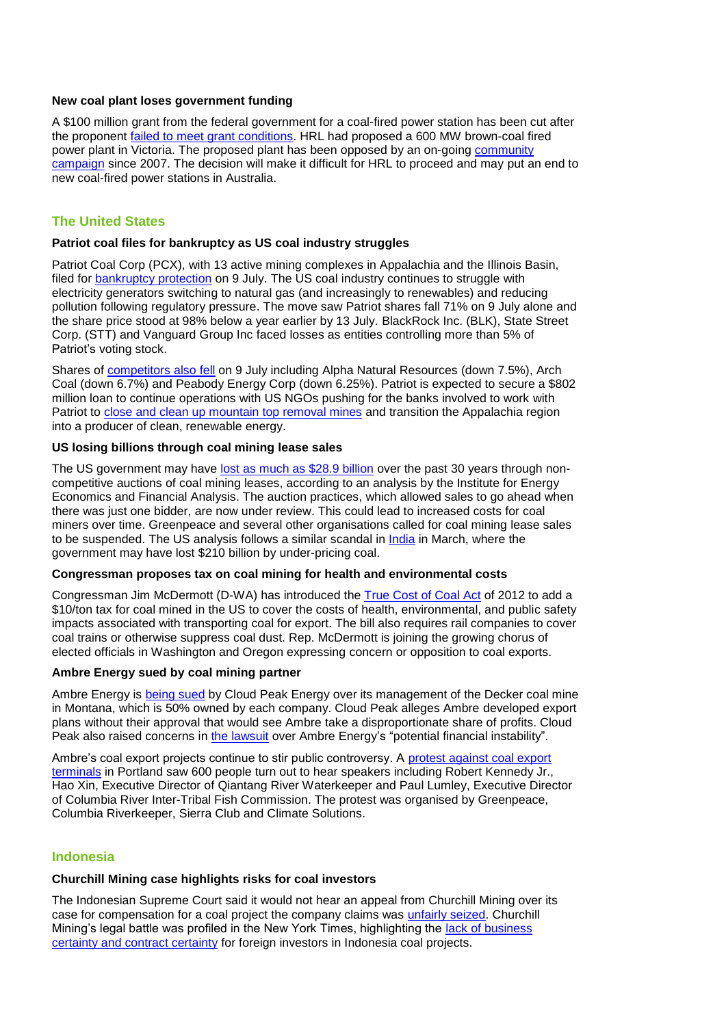#### **New coal plant loses government funding**

A \$100 million grant from the federal government for a coal-fired power station has been cut after the proponent [failed to meet grant conditions.](http://www.theage.com.au/opinion/political-news/latrobe-coal-power-plant-loses-100m-federal-grant-20120727-2301m.html) HRL had proposed a 600 MW brown-coal fired power plant in Victoria. The proposed plant has been opposed by an on-going [community](http://www.greenpeace.org/australia/en/news/climate/How-the-community-stopped-HRL/)  [campaign](http://www.greenpeace.org/australia/en/news/climate/How-the-community-stopped-HRL/) since 2007. The decision will make it difficult for HRL to proceed and may put an end to new coal-fired power stations in Australia.

## **The United States**

## **Patriot coal files for bankruptcy as US coal industry struggles**

Patriot Coal Corp (PCX), with 13 active mining complexes in Appalachia and the Illinois Basin, filed for [bankruptcy protection](http://www.bloomberg.com/news/2012-07-09/patriot-coal-files-for-bankruptcy-protection-in-new-york.html) on 9 July. The US coal industry continues to struggle with electricity generators switching to natural gas (and increasingly to renewables) and reducing pollution following regulatory pressure. The move saw Patriot shares fall 71% on 9 July alone and the share price stood at 98% below a year earlier by 13 July. BlackRock Inc. (BLK), State Street Corp. (STT) and Vanguard Group Inc faced losses as entities controlling more than 5% of Patriot's voting stock.

Shares of [competitors also fell](http://www.reuters.com/article/2012/07/09/patriot-bankruptcy-idUSL2E8I9CIE20120709) on 9 July including Alpha Natural Resources (down 7.5%), Arch Coal (down 6.7%) and Peabody Energy Corp (down 6.25%). Patriot is expected to secure a \$802 million loan to continue operations with US NGOs pushing for the banks involved to work with Patriot to [close and clean up mountain top removal mines](http://understory.ran.org/2012/07/11/patriot-coal-another-one-bites-the-dust/) and transition the Appalachia region into a producer of clean, renewable energy.

## **US losing billions through coal mining lease sales**

The US government may have [lost as much as \\$28.9 billion](http://www.washingtonpost.com/national/health-science/powder-river-basin-coal-leasing-prompts-ig-gao-reviews/2012/06/24/gJQA7xSR0V_story.html) over the past 30 years through noncompetitive auctions of coal mining leases, according to an analysis by the Institute for Energy Economics and Financial Analysis. The auction practices, which allowed sales to go ahead when there was just one bidder, are now under review. This could lead to increased costs for coal miners over time. Greenpeace and several other organisations called for coal mining lease sales to be suspended. The US analysis follows a similar scandal in [India](http://www.ft.com/intl/cms/s/0/9d239f86-766f-11e1-8e1b-00144feab49a.html#axzz20Vvvhzgd) in March, where the government may have lost \$210 billion by under-pricing coal.

#### **Congressman proposes tax on coal mining for health and environmental costs**

Congressman Jim McDermott (D-WA) has introduced th[e True Cost of Coal Act](http://seattletimes.nwsource.com/html/localnews/2018762508_coaltax25m.html) of 2012 to add a \$10/ton tax for coal mined in the US to cover the costs of health, environmental, and public safety impacts associated with transporting coal for export. The bill also requires rail companies to cover coal trains or otherwise suppress coal dust. Rep. McDermott is joining the growing chorus of elected officials in Washington and Oregon expressing concern or opposition to coal exports.

## **Ambre Energy sued by coal mining partner**

Ambre Energy is [being sued](http://www.oregonlive.com/environment/index.ssf/2012/07/lawsuit_clouds_ambre_energys_p.html) by Cloud Peak Energy over its management of the Decker coal mine in Montana, which is 50% owned by each company. Cloud Peak alleges Ambre developed export plans without their approval that would see Ambre take a disproportionate share of profits. Cloud Peak also raised concerns in [the lawsuit](http://media.oregonlive.com/environment_impact/other/CloudPeakSuit.pdf) over Ambre Energy's "potential financial instability".

Ambre's coal export projects continue to stir public controversy. A [protest against coal export](http://greenpeaceblogs.com/2012/05/07/king-coal-beware-citizens-government-leaders-step-up-to-fight-coal-exports-in-oregon/)  [terminals](http://greenpeaceblogs.com/2012/05/07/king-coal-beware-citizens-government-leaders-step-up-to-fight-coal-exports-in-oregon/) in Portland saw 600 people turn out to hear speakers including Robert Kennedy Jr., Hao Xin, Executive Director of Qiantang River Waterkeeper and Paul Lumley, Executive Director of Columbia River Inter-Tribal Fish Commission. The protest was organised by Greenpeace, Columbia Riverkeeper, Sierra Club and Climate Solutions.

## **Indonesia**

## **Churchill Mining case highlights risks for coal investors**

The Indonesian Supreme Court said it would not hear an appeal from Churchill Mining over its case for compensation for a coal project the company claims was [unfairly seized.](http://www.mining.com/2012/06/14/indonesias-supreme-court-rejects-churchill-minings-appeal/) Churchill Mining's legal battle was profiled in the New York Times, highlighting the [lack of business](http://www.nytimes.com/2012/06/07/business/global/british-mining-company-sues-indonesia-over-1-8-billion-coal-project.html?pagewanted=all)  [certainty and contract certainty](http://www.nytimes.com/2012/06/07/business/global/british-mining-company-sues-indonesia-over-1-8-billion-coal-project.html?pagewanted=all) for foreign investors in Indonesia coal projects.